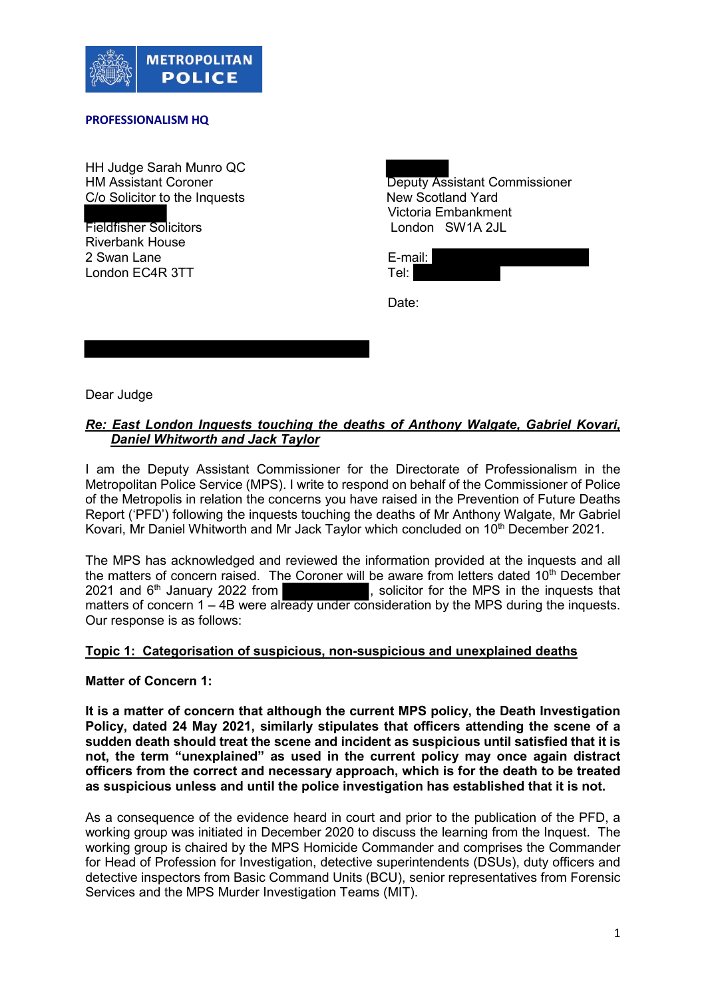

### **PROFESSIONALISM HQ**

HH Judge Sarah Munro QC C/o Solicitor to the Inquests New Scotland Yard

Fieldfisher Solicitors Riverbank House 2 Swan Lane E-mail:<br>
12 Swan EC4R 3TT Englished E-mail: E-mail: London EC4R 3TT

HM Assistant Coroner **Deputy Assistant Commissioner** Deputy Assistant Commissioner Victoria Embankment<br>London SW1A 2JL

Date:

Dear Judge

# *Re: East London Inquests touching the deaths of Anthony Walgate, Gabriel Kovari, Daniel Whitworth and Jack Taylor*

I am the Deputy Assistant Commissioner for the Directorate of Professionalism in the Metropolitan Police Service (MPS). I write to respond on behalf of the Commissioner of Police of the Metropolis in relation the concerns you have raised in the Prevention of Future Deaths Report ('PFD') following the inquests touching the deaths of Mr Anthony Walgate, Mr Gabriel Kovari, Mr Daniel Whitworth and Mr Jack Taylor which concluded on 10<sup>th</sup> December 2021.

The MPS has acknowledged and reviewed the information provided at the inquests and all the matters of concern raised. The Coroner will be aware from letters dated 10<sup>th</sup> December 2021 and  $6<sup>th</sup>$  January 2022 from  $\overline{\phantom{a}}$ , solicitor for the MPS in the inquests that , solicitor for the MPS in the inquests that matters of concern 1 – 4B were already under consideration by the MPS during the inquests. Our response is as follows:

# **Topic 1: Categorisation of suspicious, non-suspicious and unexplained deaths**

**Matter of Concern 1:** 

**It is a matter of concern that although the current MPS policy, the Death Investigation Policy, dated 24 May 2021, similarly stipulates that officers attending the scene of a sudden death should treat the scene and incident as suspicious until satisfied that it is not, the term "unexplained" as used in the current policy may once again distract officers from the correct and necessary approach, which is for the death to be treated as suspicious unless and until the police investigation has established that it is not.**

As a consequence of the evidence heard in court and prior to the publication of the PFD, a working group was initiated in December 2020 to discuss the learning from the Inquest. The working group is chaired by the MPS Homicide Commander and comprises the Commander for Head of Profession for Investigation, detective superintendents (DSUs), duty officers and detective inspectors from Basic Command Units (BCU), senior representatives from Forensic Services and the MPS Murder Investigation Teams (MIT).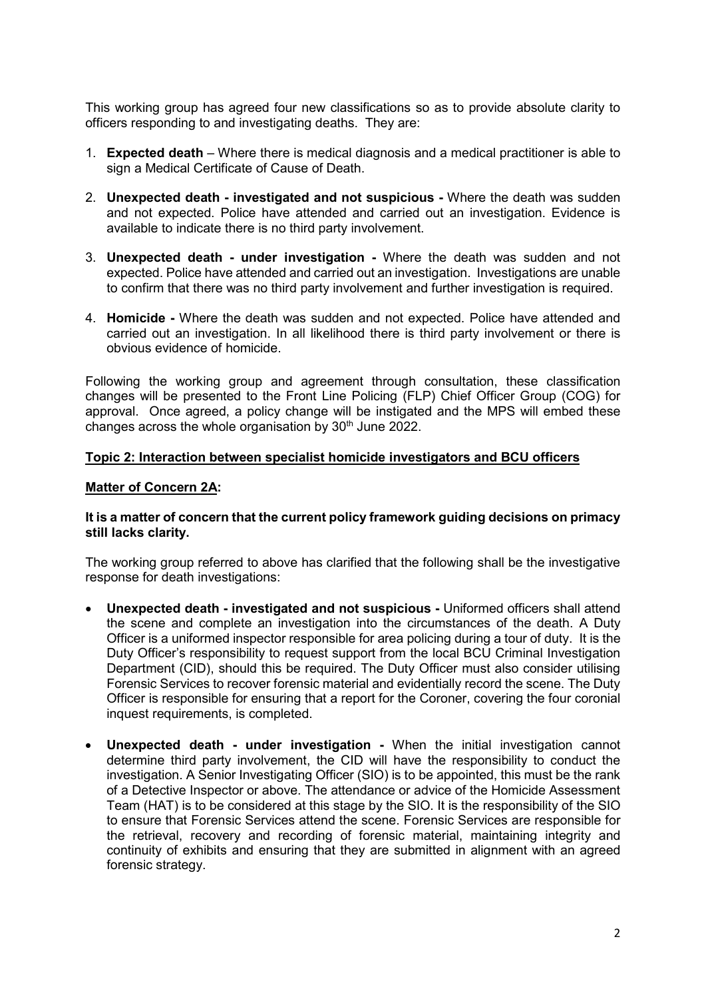This working group has agreed four new classifications so as to provide absolute clarity to officers responding to and investigating deaths. They are:

- 1. **Expected death**  Where there is medical diagnosis and a medical practitioner is able to sign a Medical Certificate of Cause of Death.
- 2. **Unexpected death - investigated and not suspicious -** Where the death was sudden and not expected. Police have attended and carried out an investigation. Evidence is available to indicate there is no third party involvement.
- 3. **Unexpected death - under investigation -** Where the death was sudden and not expected. Police have attended and carried out an investigation. Investigations are unable to confirm that there was no third party involvement and further investigation is required.
- 4. **Homicide -** Where the death was sudden and not expected. Police have attended and carried out an investigation. In all likelihood there is third party involvement or there is obvious evidence of homicide.

Following the working group and agreement through consultation, these classification changes will be presented to the Front Line Policing (FLP) Chief Officer Group (COG) for approval. Once agreed, a policy change will be instigated and the MPS will embed these changes across the whole organisation by  $30<sup>th</sup>$  June 2022.

# **Topic 2: Interaction between specialist homicide investigators and BCU officers**

## **Matter of Concern 2A:**

## **It is a matter of concern that the current policy framework guiding decisions on primacy still lacks clarity.**

The working group referred to above has clarified that the following shall be the investigative response for death investigations:

- **Unexpected death - investigated and not suspicious -** Uniformed officers shall attend the scene and complete an investigation into the circumstances of the death. A Duty Officer is a uniformed inspector responsible for area policing during a tour of duty. It is the Duty Officer's responsibility to request support from the local BCU Criminal Investigation Department (CID), should this be required. The Duty Officer must also consider utilising Forensic Services to recover forensic material and evidentially record the scene. The Duty Officer is responsible for ensuring that a report for the Coroner, covering the four coronial inquest requirements, is completed.
- **Unexpected death - under investigation -** When the initial investigation cannot determine third party involvement, the CID will have the responsibility to conduct the investigation. A Senior Investigating Officer (SIO) is to be appointed, this must be the rank of a Detective Inspector or above. The attendance or advice of the Homicide Assessment Team (HAT) is to be considered at this stage by the SIO. It is the responsibility of the SIO to ensure that Forensic Services attend the scene. Forensic Services are responsible for the retrieval, recovery and recording of forensic material, maintaining integrity and continuity of exhibits and ensuring that they are submitted in alignment with an agreed forensic strategy.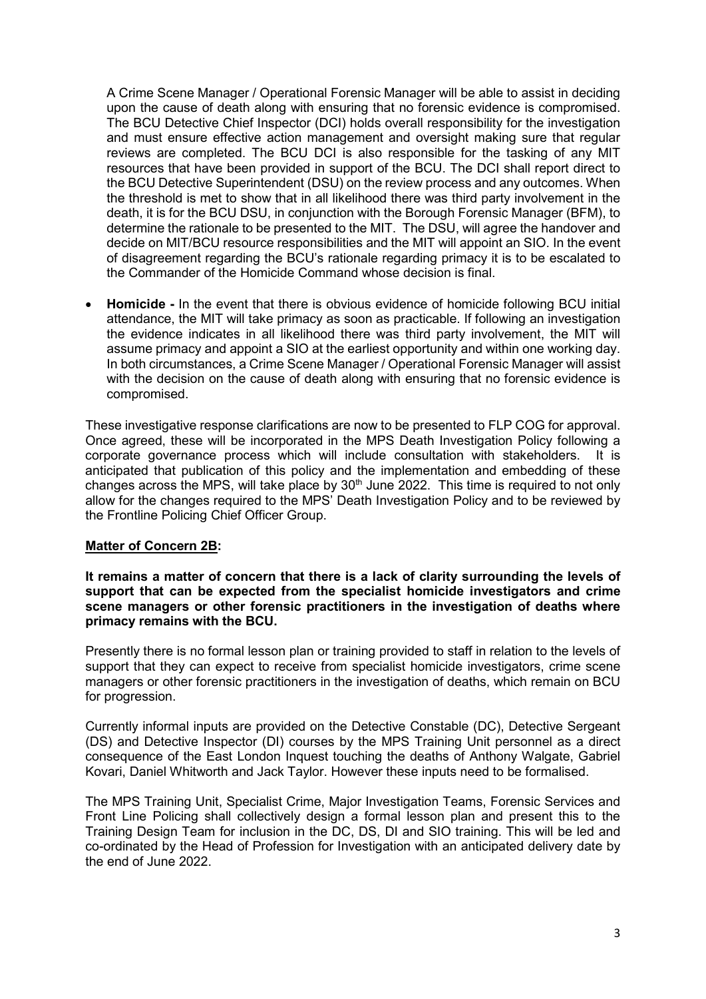A Crime Scene Manager / Operational Forensic Manager will be able to assist in deciding upon the cause of death along with ensuring that no forensic evidence is compromised. The BCU Detective Chief Inspector (DCI) holds overall responsibility for the investigation and must ensure effective action management and oversight making sure that regular reviews are completed. The BCU DCI is also responsible for the tasking of any MIT resources that have been provided in support of the BCU. The DCI shall report direct to the BCU Detective Superintendent (DSU) on the review process and any outcomes. When the threshold is met to show that in all likelihood there was third party involvement in the death, it is for the BCU DSU, in conjunction with the Borough Forensic Manager (BFM), to determine the rationale to be presented to the MIT. The DSU, will agree the handover and decide on MIT/BCU resource responsibilities and the MIT will appoint an SIO. In the event of disagreement regarding the BCU's rationale regarding primacy it is to be escalated to the Commander of the Homicide Command whose decision is final.

• **Homicide -** In the event that there is obvious evidence of homicide following BCU initial attendance, the MIT will take primacy as soon as practicable. If following an investigation the evidence indicates in all likelihood there was third party involvement, the MIT will assume primacy and appoint a SIO at the earliest opportunity and within one working day. In both circumstances, a Crime Scene Manager / Operational Forensic Manager will assist with the decision on the cause of death along with ensuring that no forensic evidence is compromised.

These investigative response clarifications are now to be presented to FLP COG for approval. Once agreed, these will be incorporated in the MPS Death Investigation Policy following a corporate governance process which will include consultation with stakeholders. It is anticipated that publication of this policy and the implementation and embedding of these changes across the MPS, will take place by 30<sup>th</sup> June 2022. This time is required to not only allow for the changes required to the MPS' Death Investigation Policy and to be reviewed by the Frontline Policing Chief Officer Group.

# **Matter of Concern 2B:**

**It remains a matter of concern that there is a lack of clarity surrounding the levels of support that can be expected from the specialist homicide investigators and crime scene managers or other forensic practitioners in the investigation of deaths where primacy remains with the BCU.**

Presently there is no formal lesson plan or training provided to staff in relation to the levels of support that they can expect to receive from specialist homicide investigators, crime scene managers or other forensic practitioners in the investigation of deaths, which remain on BCU for progression.

Currently informal inputs are provided on the Detective Constable (DC), Detective Sergeant (DS) and Detective Inspector (DI) courses by the MPS Training Unit personnel as a direct consequence of the East London Inquest touching the deaths of Anthony Walgate, Gabriel Kovari, Daniel Whitworth and Jack Taylor. However these inputs need to be formalised.

The MPS Training Unit, Specialist Crime, Major Investigation Teams, Forensic Services and Front Line Policing shall collectively design a formal lesson plan and present this to the Training Design Team for inclusion in the DC, DS, DI and SIO training. This will be led and co-ordinated by the Head of Profession for Investigation with an anticipated delivery date by the end of June 2022.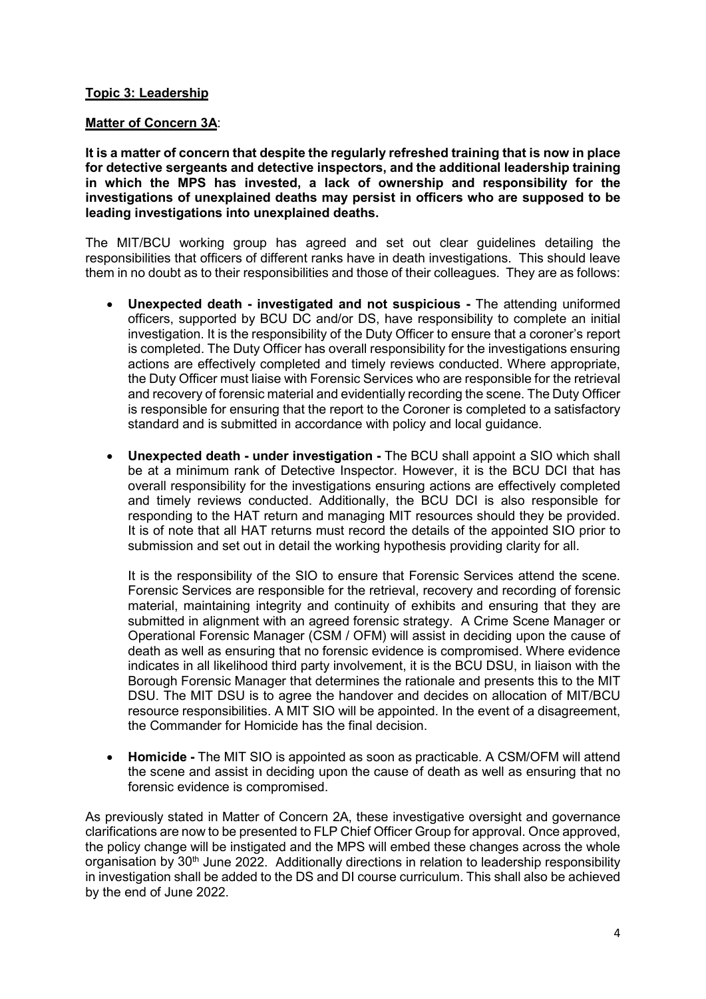# **Topic 3: Leadership**

# **Matter of Concern 3A**:

**It is a matter of concern that despite the regularly refreshed training that is now in place for detective sergeants and detective inspectors, and the additional leadership training in which the MPS has invested, a lack of ownership and responsibility for the investigations of unexplained deaths may persist in officers who are supposed to be leading investigations into unexplained deaths.**

The MIT/BCU working group has agreed and set out clear guidelines detailing the responsibilities that officers of different ranks have in death investigations. This should leave them in no doubt as to their responsibilities and those of their colleagues. They are as follows:

- **Unexpected death - investigated and not suspicious -** The attending uniformed officers, supported by BCU DC and/or DS, have responsibility to complete an initial investigation. It is the responsibility of the Duty Officer to ensure that a coroner's report is completed. The Duty Officer has overall responsibility for the investigations ensuring actions are effectively completed and timely reviews conducted. Where appropriate, the Duty Officer must liaise with Forensic Services who are responsible for the retrieval and recovery of forensic material and evidentially recording the scene. The Duty Officer is responsible for ensuring that the report to the Coroner is completed to a satisfactory standard and is submitted in accordance with policy and local guidance.
- **Unexpected death - under investigation -** The BCU shall appoint a SIO which shall be at a minimum rank of Detective Inspector. However, it is the BCU DCI that has overall responsibility for the investigations ensuring actions are effectively completed and timely reviews conducted. Additionally, the BCU DCI is also responsible for responding to the HAT return and managing MIT resources should they be provided. It is of note that all HAT returns must record the details of the appointed SIO prior to submission and set out in detail the working hypothesis providing clarity for all.

It is the responsibility of the SIO to ensure that Forensic Services attend the scene. Forensic Services are responsible for the retrieval, recovery and recording of forensic material, maintaining integrity and continuity of exhibits and ensuring that they are submitted in alignment with an agreed forensic strategy. A Crime Scene Manager or Operational Forensic Manager (CSM / OFM) will assist in deciding upon the cause of death as well as ensuring that no forensic evidence is compromised. Where evidence indicates in all likelihood third party involvement, it is the BCU DSU, in liaison with the Borough Forensic Manager that determines the rationale and presents this to the MIT DSU. The MIT DSU is to agree the handover and decides on allocation of MIT/BCU resource responsibilities. A MIT SIO will be appointed. In the event of a disagreement, the Commander for Homicide has the final decision.

• **Homicide -** The MIT SIO is appointed as soon as practicable. A CSM/OFM will attend the scene and assist in deciding upon the cause of death as well as ensuring that no forensic evidence is compromised.

As previously stated in Matter of Concern 2A, these investigative oversight and governance clarifications are now to be presented to FLP Chief Officer Group for approval. Once approved, the policy change will be instigated and the MPS will embed these changes across the whole organisation by 30<sup>th</sup> June 2022. Additionally directions in relation to leadership responsibility in investigation shall be added to the DS and DI course curriculum. This shall also be achieved by the end of June 2022.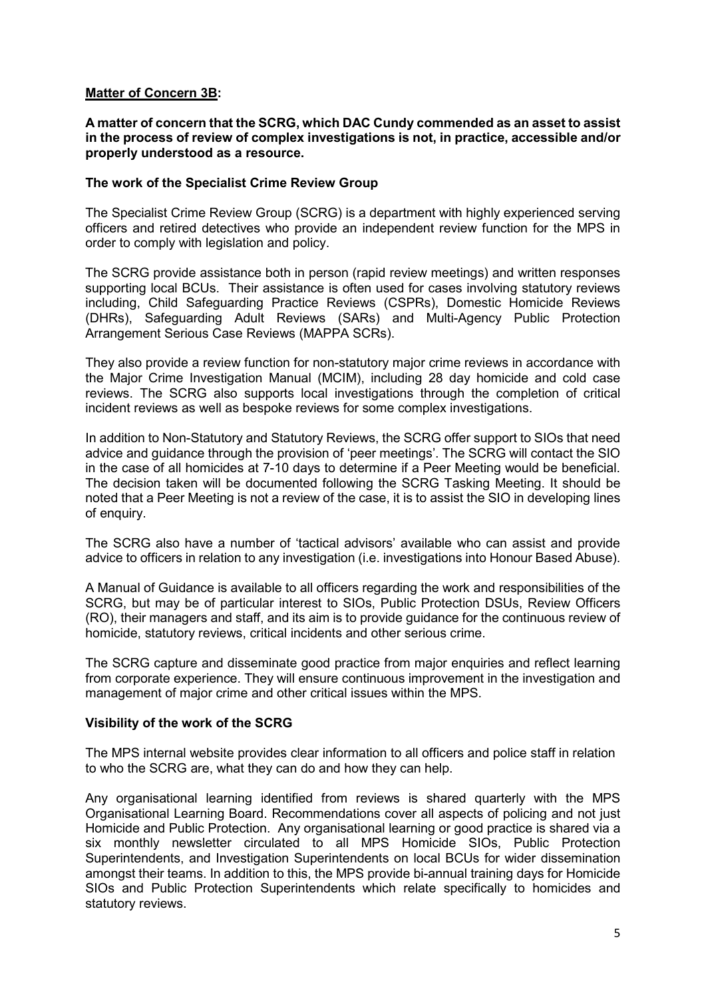# **Matter of Concern 3B:**

## **A matter of concern that the SCRG, which DAC Cundy commended as an asset to assist in the process of review of complex investigations is not, in practice, accessible and/or properly understood as a resource.**

### **The work of the Specialist Crime Review Group**

The Specialist Crime Review Group (SCRG) is a department with highly experienced serving officers and retired detectives who provide an independent review function for the MPS in order to comply with legislation and policy.

The SCRG provide assistance both in person (rapid review meetings) and written responses supporting local BCUs. Their assistance is often used for cases involving statutory reviews including, Child Safeguarding Practice Reviews (CSPRs), Domestic Homicide Reviews (DHRs), Safeguarding Adult Reviews (SARs) and Multi-Agency Public Protection Arrangement Serious Case Reviews (MAPPA SCRs).

They also provide a review function for non-statutory major crime reviews in accordance with the Major Crime Investigation Manual (MCIM), including 28 day homicide and cold case reviews. The SCRG also supports local investigations through the completion of critical incident reviews as well as bespoke reviews for some complex investigations.

In addition to Non-Statutory and Statutory Reviews, the SCRG offer support to SIOs that need advice and guidance through the provision of 'peer meetings'. The SCRG will contact the SIO in the case of all homicides at 7-10 days to determine if a Peer Meeting would be beneficial. The decision taken will be documented following the SCRG Tasking Meeting. It should be noted that a Peer Meeting is not a review of the case, it is to assist the SIO in developing lines of enquiry.

The SCRG also have a number of 'tactical advisors' available who can assist and provide advice to officers in relation to any investigation (i.e. investigations into Honour Based Abuse).

A Manual of Guidance is available to all officers regarding the work and responsibilities of the SCRG, but may be of particular interest to SIOs, Public Protection DSUs, Review Officers (RO), their managers and staff, and its aim is to provide guidance for the continuous review of homicide, statutory reviews, critical incidents and other serious crime.

The SCRG capture and disseminate good practice from major enquiries and reflect learning from corporate experience. They will ensure continuous improvement in the investigation and management of major crime and other critical issues within the MPS.

### **Visibility of the work of the SCRG**

The MPS internal website provides clear information to all officers and police staff in relation to who the SCRG are, what they can do and how they can help.

Any organisational learning identified from reviews is shared quarterly with the MPS Organisational Learning Board. Recommendations cover all aspects of policing and not just Homicide and Public Protection. Any organisational learning or good practice is shared via a six monthly newsletter circulated to all MPS Homicide SIOs, Public Protection Superintendents, and Investigation Superintendents on local BCUs for wider dissemination amongst their teams. In addition to this, the MPS provide bi-annual training days for Homicide SIOs and Public Protection Superintendents which relate specifically to homicides and statutory reviews.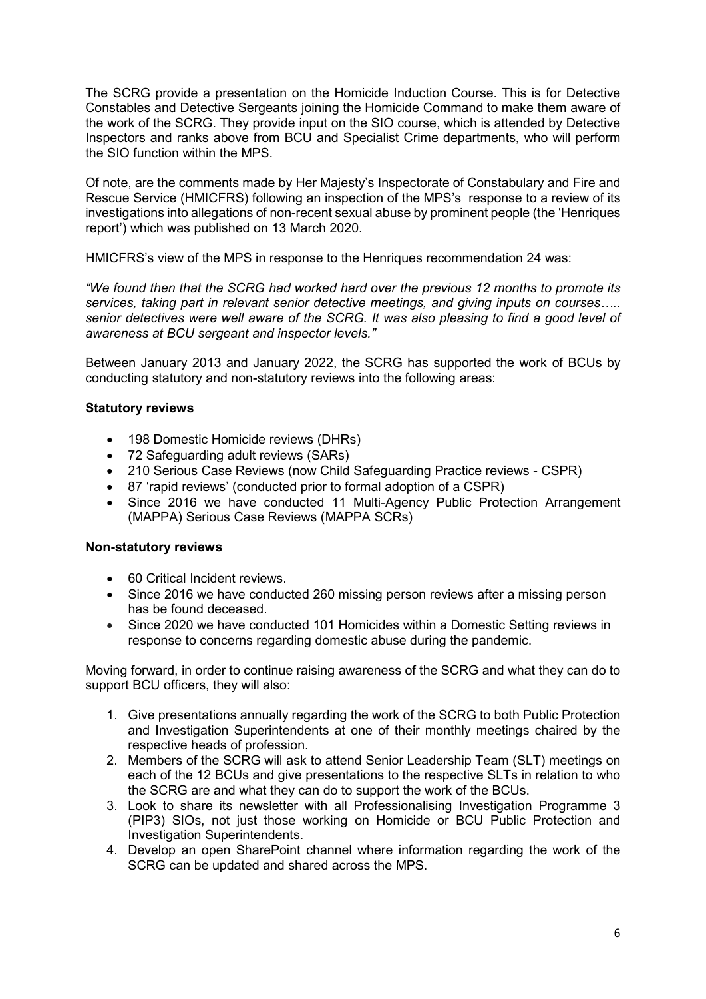The SCRG provide a presentation on the Homicide Induction Course. This is for Detective Constables and Detective Sergeants joining the Homicide Command to make them aware of the work of the SCRG. They provide input on the SIO course, which is attended by Detective Inspectors and ranks above from BCU and Specialist Crime departments, who will perform the SIO function within the MPS.

Of note, are the comments made by Her Majesty's Inspectorate of Constabulary and Fire and Rescue Service (HMICFRS) following an inspection of the MPS's response to a review of its investigations into allegations of non-recent sexual abuse by prominent people (the 'Henriques report') which was published on 13 March 2020.

HMICFRS's view of the MPS in response to the Henriques recommendation 24 was:

*"We found then that the SCRG had worked hard over the previous 12 months to promote its services, taking part in relevant senior detective meetings, and giving inputs on courses….. senior detectives were well aware of the SCRG. It was also pleasing to find a good level of awareness at BCU sergeant and inspector levels."* 

Between January 2013 and January 2022, the SCRG has supported the work of BCUs by conducting statutory and non-statutory reviews into the following areas:

# **Statutory reviews**

- 198 Domestic Homicide reviews (DHRs)
- 72 Safeguarding adult reviews (SARs)
- 210 Serious Case Reviews (now Child Safeguarding Practice reviews CSPR)
- 87 'rapid reviews' (conducted prior to formal adoption of a CSPR)
- Since 2016 we have conducted 11 Multi-Agency Public Protection Arrangement (MAPPA) Serious Case Reviews (MAPPA SCRs)

### **Non-statutory reviews**

- 60 Critical Incident reviews.
- Since 2016 we have conducted 260 missing person reviews after a missing person has be found deceased.
- Since 2020 we have conducted 101 Homicides within a Domestic Setting reviews in response to concerns regarding domestic abuse during the pandemic.

Moving forward, in order to continue raising awareness of the SCRG and what they can do to support BCU officers, they will also:

- 1. Give presentations annually regarding the work of the SCRG to both Public Protection and Investigation Superintendents at one of their monthly meetings chaired by the respective heads of profession.
- 2. Members of the SCRG will ask to attend Senior Leadership Team (SLT) meetings on each of the 12 BCUs and give presentations to the respective SLTs in relation to who the SCRG are and what they can do to support the work of the BCUs.
- 3. Look to share its newsletter with all Professionalising Investigation Programme 3 (PIP3) SIOs, not just those working on Homicide or BCU Public Protection and Investigation Superintendents.
- 4. Develop an open SharePoint channel where information regarding the work of the SCRG can be updated and shared across the MPS.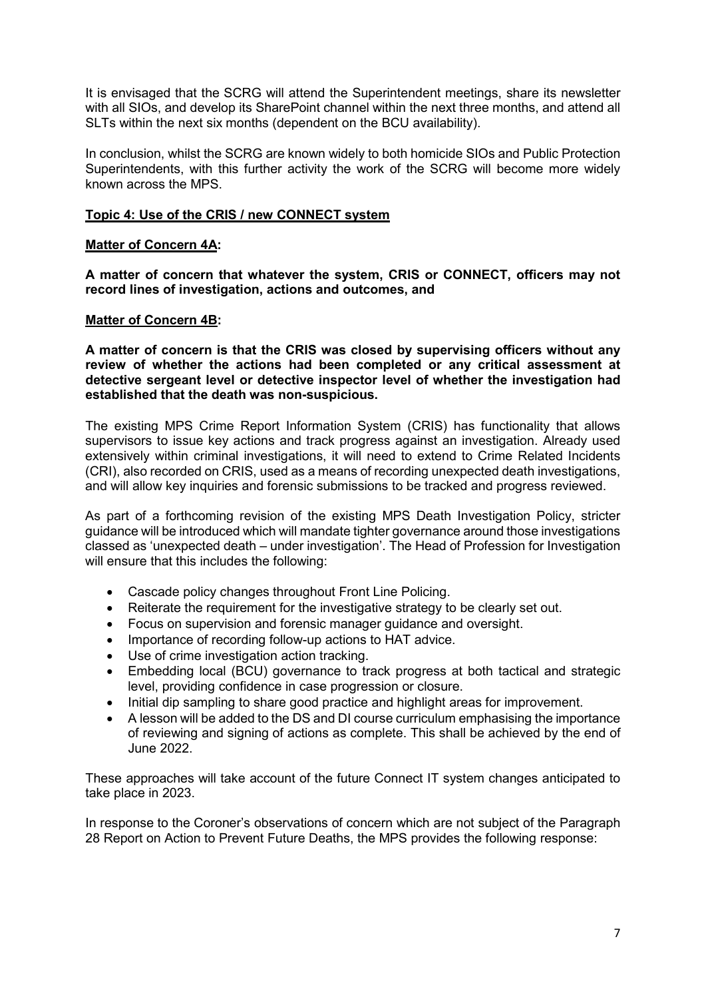It is envisaged that the SCRG will attend the Superintendent meetings, share its newsletter with all SIOs, and develop its SharePoint channel within the next three months, and attend all SLTs within the next six months (dependent on the BCU availability).

In conclusion, whilst the SCRG are known widely to both homicide SIOs and Public Protection Superintendents, with this further activity the work of the SCRG will become more widely known across the MPS.

## **Topic 4: Use of the CRIS / new CONNECT system**

## **Matter of Concern 4A:**

**A matter of concern that whatever the system, CRIS or CONNECT, officers may not record lines of investigation, actions and outcomes, and**

## **Matter of Concern 4B:**

**A matter of concern is that the CRIS was closed by supervising officers without any review of whether the actions had been completed or any critical assessment at detective sergeant level or detective inspector level of whether the investigation had established that the death was non-suspicious.**

The existing MPS Crime Report Information System (CRIS) has functionality that allows supervisors to issue key actions and track progress against an investigation. Already used extensively within criminal investigations, it will need to extend to Crime Related Incidents (CRI), also recorded on CRIS, used as a means of recording unexpected death investigations, and will allow key inquiries and forensic submissions to be tracked and progress reviewed.

As part of a forthcoming revision of the existing MPS Death Investigation Policy, stricter guidance will be introduced which will mandate tighter governance around those investigations classed as 'unexpected death – under investigation'. The Head of Profession for Investigation will ensure that this includes the following:

- Cascade policy changes throughout Front Line Policing.
- Reiterate the requirement for the investigative strategy to be clearly set out.
- Focus on supervision and forensic manager guidance and oversight.
- Importance of recording follow-up actions to HAT advice.
- Use of crime investigation action tracking.
- Embedding local (BCU) governance to track progress at both tactical and strategic level, providing confidence in case progression or closure.
- Initial dip sampling to share good practice and highlight areas for improvement.
- A lesson will be added to the DS and DI course curriculum emphasising the importance of reviewing and signing of actions as complete. This shall be achieved by the end of June 2022.

These approaches will take account of the future Connect IT system changes anticipated to take place in 2023.

In response to the Coroner's observations of concern which are not subject of the Paragraph 28 Report on Action to Prevent Future Deaths, the MPS provides the following response: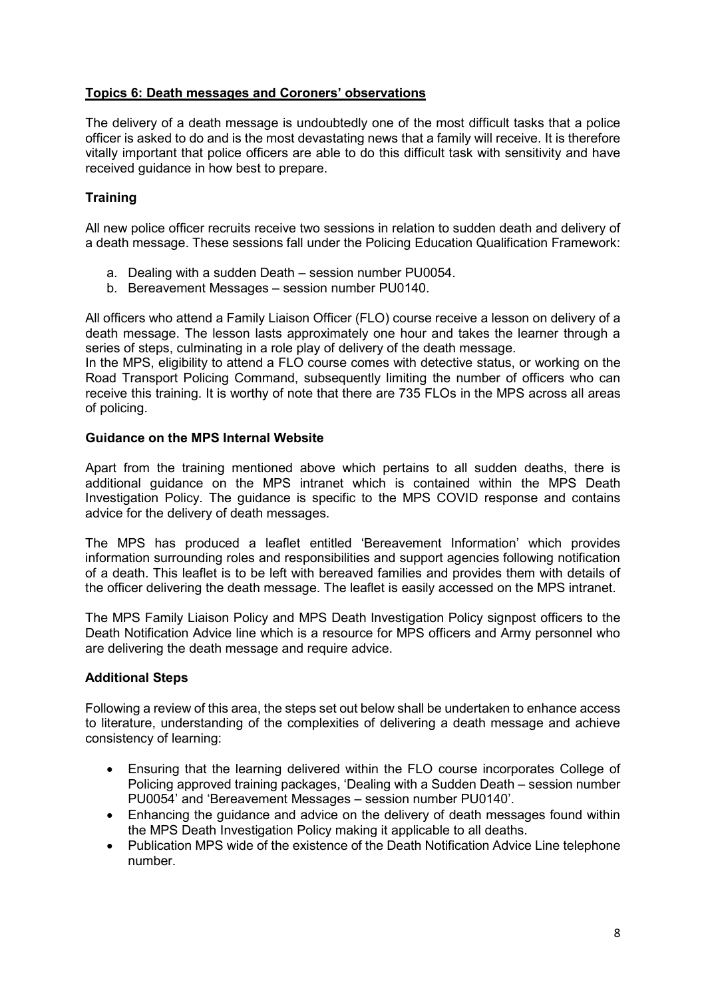# **Topics 6: Death messages and Coroners' observations**

The delivery of a death message is undoubtedly one of the most difficult tasks that a police officer is asked to do and is the most devastating news that a family will receive. It is therefore vitally important that police officers are able to do this difficult task with sensitivity and have received guidance in how best to prepare.

# **Training**

All new police officer recruits receive two sessions in relation to sudden death and delivery of a death message. These sessions fall under the Policing Education Qualification Framework:

- a. Dealing with a sudden Death session number PU0054.
- b. Bereavement Messages session number PU0140.

All officers who attend a Family Liaison Officer (FLO) course receive a lesson on delivery of a death message. The lesson lasts approximately one hour and takes the learner through a series of steps, culminating in a role play of delivery of the death message.

In the MPS, eligibility to attend a FLO course comes with detective status, or working on the Road Transport Policing Command, subsequently limiting the number of officers who can receive this training. It is worthy of note that there are 735 FLOs in the MPS across all areas of policing.

## **Guidance on the MPS Internal Website**

Apart from the training mentioned above which pertains to all sudden deaths, there is additional guidance on the MPS intranet which is contained within the MPS Death Investigation Policy. The guidance is specific to the MPS COVID response and contains advice for the delivery of death messages.

The MPS has produced a leaflet entitled 'Bereavement Information' which provides information surrounding roles and responsibilities and support agencies following notification of a death. This leaflet is to be left with bereaved families and provides them with details of the officer delivering the death message. The leaflet is easily accessed on the MPS intranet.

The MPS Family Liaison Policy and MPS Death Investigation Policy signpost officers to the Death Notification Advice line which is a resource for MPS officers and Army personnel who are delivering the death message and require advice.

# **Additional Steps**

Following a review of this area, the steps set out below shall be undertaken to enhance access to literature, understanding of the complexities of delivering a death message and achieve consistency of learning:

- Ensuring that the learning delivered within the FLO course incorporates College of Policing approved training packages, 'Dealing with a Sudden Death – session number PU0054' and 'Bereavement Messages – session number PU0140'.
- Enhancing the guidance and advice on the delivery of death messages found within the MPS Death Investigation Policy making it applicable to all deaths.
- Publication MPS wide of the existence of the Death Notification Advice Line telephone number.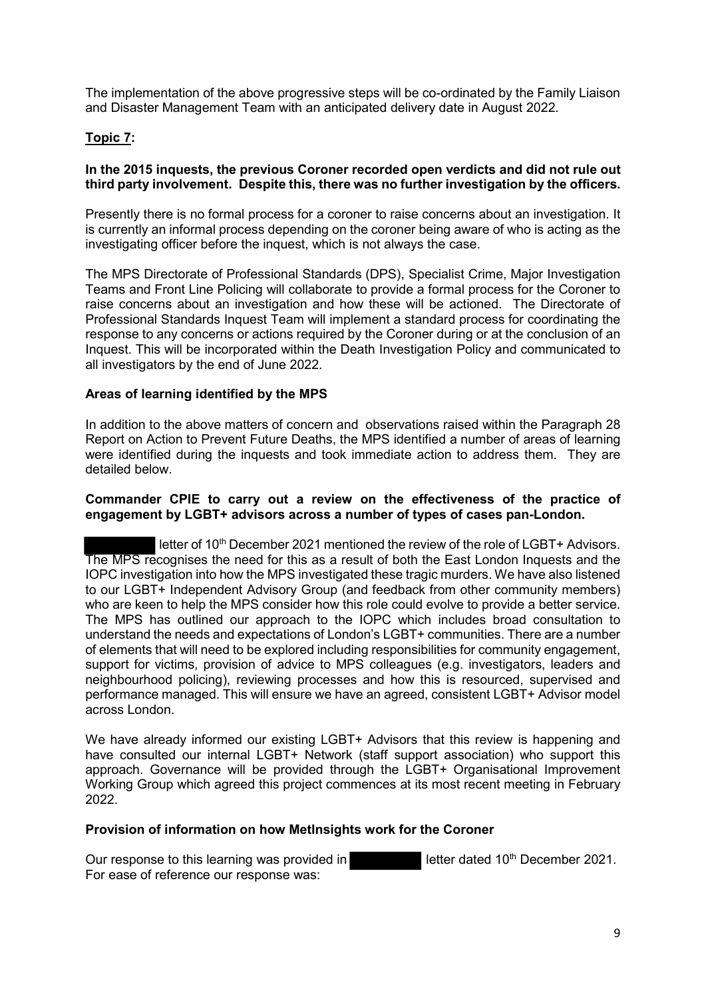The implementation of the above progressive steps will be co-ordinated by the Family Liaison and Disaster Management Team with an anticipated delivery date in August 2022.

# **Topic 7:**

## **In the 2015 inquests, the previous Coroner recorded open verdicts and did not rule out third party involvement. Despite this, there was no further investigation by the officers.**

Presently there is no formal process for a coroner to raise concerns about an investigation. It is currently an informal process depending on the coroner being aware of who is acting as the investigating officer before the inquest, which is not always the case.

The MPS Directorate of Professional Standards (DPS), Specialist Crime, Major Investigation Teams and Front Line Policing will collaborate to provide a formal process for the Coroner to raise concerns about an investigation and how these will be actioned. The Directorate of Professional Standards Inquest Team will implement a standard process for coordinating the response to any concerns or actions required by the Coroner during or at the conclusion of an Inquest. This will be incorporated within the Death Investigation Policy and communicated to all investigators by the end of June 2022.

# **Areas of learning identified by the MPS**

In addition to the above matters of concern and observations raised within the Paragraph 28 Report on Action to Prevent Future Deaths, the MPS identified a number of areas of learning were identified during the inquests and took immediate action to address them. They are detailed below.

## **Commander CPIE to carry out a review on the effectiveness of the practice of engagement by LGBT+ advisors across a number of types of cases pan-London.**

letter of 10<sup>th</sup> December 2021 mentioned the review of the role of LGBT+ Advisors. The MPS recognises the need for this as a result of both the East London Inquests and the IOPC investigation into how the MPS investigated these tragic murders. We have also listened to our LGBT+ Independent Advisory Group (and feedback from other community members) who are keen to help the MPS consider how this role could evolve to provide a better service. The MPS has outlined our approach to the IOPC which includes broad consultation to understand the needs and expectations of London's LGBT+ communities. There are a number of elements that will need to be explored including responsibilities for community engagement, support for victims, provision of advice to MPS colleagues (e.g. investigators, leaders and neighbourhood policing), reviewing processes and how this is resourced, supervised and performance managed. This will ensure we have an agreed, consistent LGBT+ Advisor model across London.

We have already informed our existing LGBT+ Advisors that this review is happening and have consulted our internal LGBT+ Network (staff support association) who support this approach. Governance will be provided through the LGBT+ Organisational Improvement Working Group which agreed this project commences at its most recent meeting in February 2022.

### **Provision of information on how MetInsights work for the Coroner**

Our response to this learning was provided in letter dated 10<sup>th</sup> December 2021. For ease of reference our response was: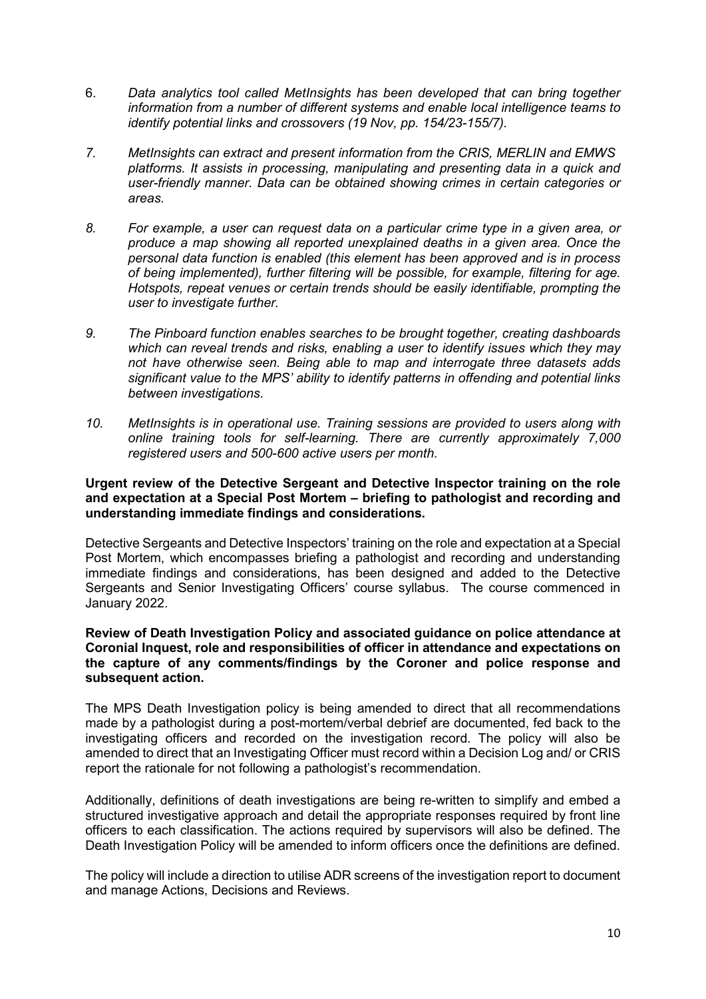- 6. *Data analytics tool called MetInsights has been developed that can bring together information from a number of different systems and enable local intelligence teams to identify potential links and crossovers (19 Nov, pp. 154/23-155/7).*
- *7. MetInsights can extract and present information from the CRIS, MERLIN and EMWS platforms. It assists in processing, manipulating and presenting data in a quick and user-friendly manner. Data can be obtained showing crimes in certain categories or areas.*
- *8. For example, a user can request data on a particular crime type in a given area, or produce a map showing all reported unexplained deaths in a given area. Once the personal data function is enabled (this element has been approved and is in process of being implemented), further filtering will be possible, for example, filtering for age. Hotspots, repeat venues or certain trends should be easily identifiable, prompting the user to investigate further.*
- *9. The Pinboard function enables searches to be brought together, creating dashboards which can reveal trends and risks, enabling a user to identify issues which they may not have otherwise seen. Being able to map and interrogate three datasets adds significant value to the MPS' ability to identify patterns in offending and potential links between investigations.*
- *10. MetInsights is in operational use. Training sessions are provided to users along with online training tools for self-learning. There are currently approximately 7,000 registered users and 500-600 active users per month.*

## **Urgent review of the Detective Sergeant and Detective Inspector training on the role and expectation at a Special Post Mortem – briefing to pathologist and recording and understanding immediate findings and considerations.**

Detective Sergeants and Detective Inspectors' training on the role and expectation at a Special Post Mortem, which encompasses briefing a pathologist and recording and understanding immediate findings and considerations, has been designed and added to the Detective Sergeants and Senior Investigating Officers' course syllabus. The course commenced in January 2022.

### **Review of Death Investigation Policy and associated guidance on police attendance at Coronial Inquest, role and responsibilities of officer in attendance and expectations on the capture of any comments/findings by the Coroner and police response and subsequent action.**

The MPS Death Investigation policy is being amended to direct that all recommendations made by a pathologist during a post-mortem/verbal debrief are documented, fed back to the investigating officers and recorded on the investigation record. The policy will also be amended to direct that an Investigating Officer must record within a Decision Log and/ or CRIS report the rationale for not following a pathologist's recommendation.

Additionally, definitions of death investigations are being re-written to simplify and embed a structured investigative approach and detail the appropriate responses required by front line officers to each classification. The actions required by supervisors will also be defined. The Death Investigation Policy will be amended to inform officers once the definitions are defined.

The policy will include a direction to utilise ADR screens of the investigation report to document and manage Actions, Decisions and Reviews.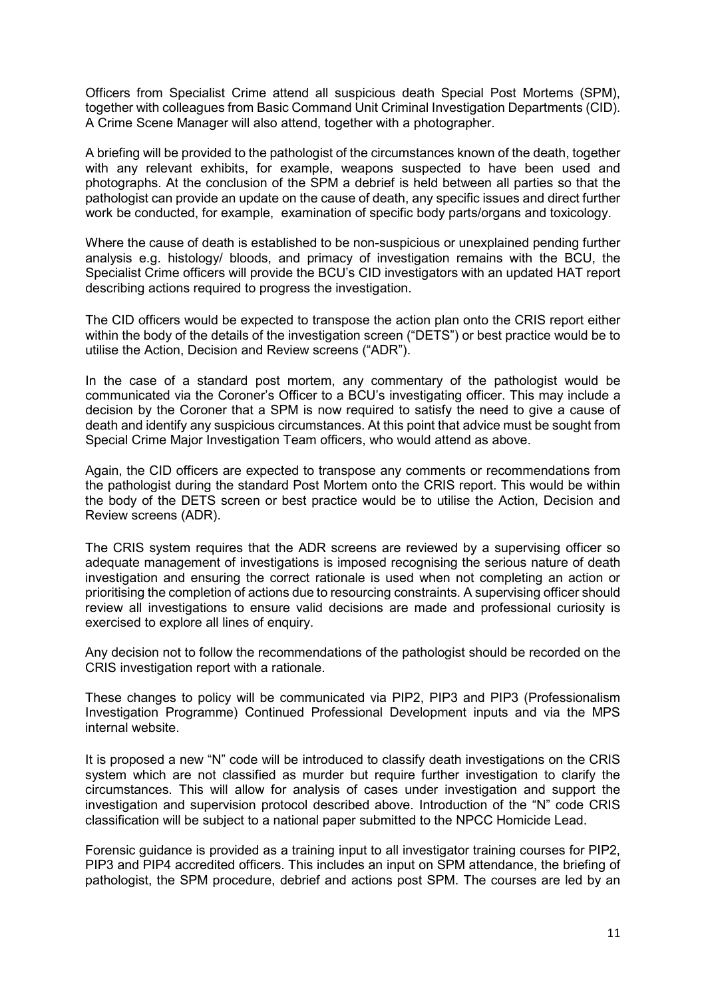Officers from Specialist Crime attend all suspicious death Special Post Mortems (SPM), together with colleagues from Basic Command Unit Criminal Investigation Departments (CID). A Crime Scene Manager will also attend, together with a photographer.

A briefing will be provided to the pathologist of the circumstances known of the death, together with any relevant exhibits, for example, weapons suspected to have been used and photographs. At the conclusion of the SPM a debrief is held between all parties so that the pathologist can provide an update on the cause of death, any specific issues and direct further work be conducted, for example, examination of specific body parts/organs and toxicology.

Where the cause of death is established to be non-suspicious or unexplained pending further analysis e.g. histology/ bloods, and primacy of investigation remains with the BCU, the Specialist Crime officers will provide the BCU's CID investigators with an updated HAT report describing actions required to progress the investigation.

The CID officers would be expected to transpose the action plan onto the CRIS report either within the body of the details of the investigation screen ("DETS") or best practice would be to utilise the Action, Decision and Review screens ("ADR").

In the case of a standard post mortem, any commentary of the pathologist would be communicated via the Coroner's Officer to a BCU's investigating officer. This may include a decision by the Coroner that a SPM is now required to satisfy the need to give a cause of death and identify any suspicious circumstances. At this point that advice must be sought from Special Crime Major Investigation Team officers, who would attend as above.

Again, the CID officers are expected to transpose any comments or recommendations from the pathologist during the standard Post Mortem onto the CRIS report. This would be within the body of the DETS screen or best practice would be to utilise the Action, Decision and Review screens (ADR).

The CRIS system requires that the ADR screens are reviewed by a supervising officer so adequate management of investigations is imposed recognising the serious nature of death investigation and ensuring the correct rationale is used when not completing an action or prioritising the completion of actions due to resourcing constraints. A supervising officer should review all investigations to ensure valid decisions are made and professional curiosity is exercised to explore all lines of enquiry.

Any decision not to follow the recommendations of the pathologist should be recorded on the CRIS investigation report with a rationale.

These changes to policy will be communicated via PIP2, PIP3 and PIP3 (Professionalism Investigation Programme) Continued Professional Development inputs and via the MPS internal website.

It is proposed a new "N" code will be introduced to classify death investigations on the CRIS system which are not classified as murder but require further investigation to clarify the circumstances. This will allow for analysis of cases under investigation and support the investigation and supervision protocol described above. Introduction of the "N" code CRIS classification will be subject to a national paper submitted to the NPCC Homicide Lead.

Forensic guidance is provided as a training input to all investigator training courses for PIP2, PIP3 and PIP4 accredited officers. This includes an input on SPM attendance, the briefing of pathologist, the SPM procedure, debrief and actions post SPM. The courses are led by an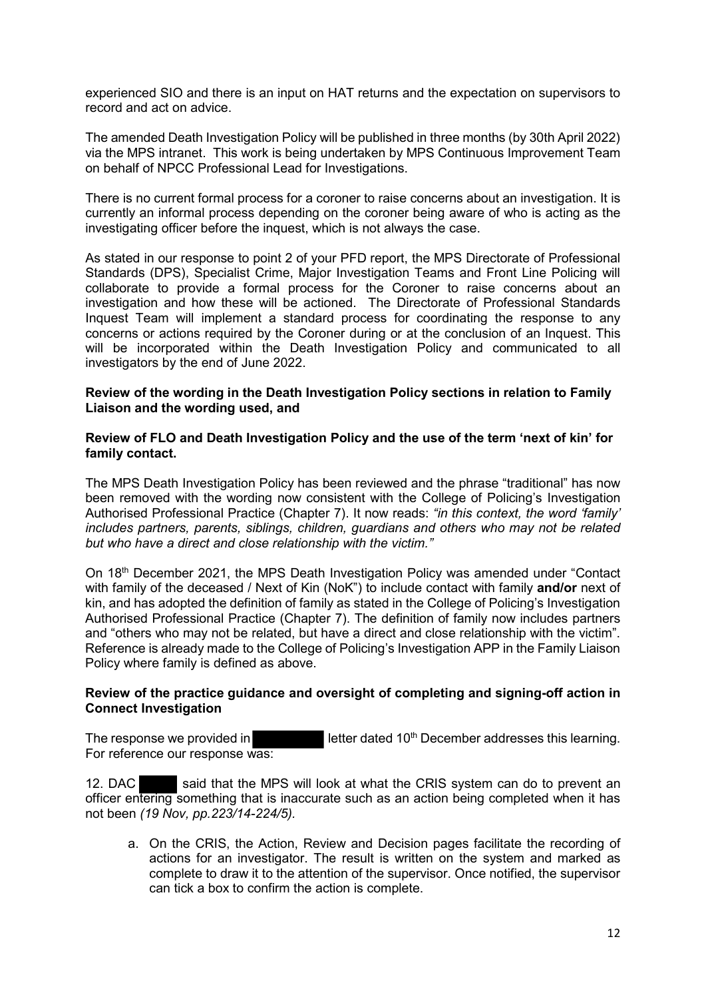experienced SIO and there is an input on HAT returns and the expectation on supervisors to record and act on advice.

The amended Death Investigation Policy will be published in three months (by 30th April 2022) via the MPS intranet. This work is being undertaken by MPS Continuous Improvement Team on behalf of NPCC Professional Lead for Investigations.

There is no current formal process for a coroner to raise concerns about an investigation. It is currently an informal process depending on the coroner being aware of who is acting as the investigating officer before the inquest, which is not always the case.

As stated in our response to point 2 of your PFD report, the MPS Directorate of Professional Standards (DPS), Specialist Crime, Major Investigation Teams and Front Line Policing will collaborate to provide a formal process for the Coroner to raise concerns about an investigation and how these will be actioned. The Directorate of Professional Standards Inquest Team will implement a standard process for coordinating the response to any concerns or actions required by the Coroner during or at the conclusion of an Inquest. This will be incorporated within the Death Investigation Policy and communicated to all investigators by the end of June 2022.

## **Review of the wording in the Death Investigation Policy sections in relation to Family Liaison and the wording used, and**

## **Review of FLO and Death Investigation Policy and the use of the term 'next of kin' for family contact.**

The MPS Death Investigation Policy has been reviewed and the phrase "traditional" has now been removed with the wording now consistent with the College of Policing's Investigation Authorised Professional Practice (Chapter 7). It now reads: *"in this context, the word 'family' includes partners, parents, siblings, children, guardians and others who may not be related but who have a direct and close relationship with the victim."*

On 18th December 2021, the MPS Death Investigation Policy was amended under "Contact with family of the deceased / Next of Kin (NoK") to include contact with family **and/or** next of kin, and has adopted the definition of family as stated in the College of Policing's Investigation Authorised Professional Practice (Chapter 7). The definition of family now includes partners and "others who may not be related, but have a direct and close relationship with the victim". Reference is already made to the College of Policing's Investigation APP in the Family Liaison Policy where family is defined as above.

# **Review of the practice guidance and oversight of completing and signing-off action in Connect Investigation**

The response we provided in  $\blacksquare$  letter dated 10<sup>th</sup> December addresses this learning. For reference our response was:

12. DAC said that the MPS will look at what the CRIS system can do to prevent an officer entering something that is inaccurate such as an action being completed when it has not been *(19 Nov, pp.223/14-224/5).* 

a. On the CRIS, the Action, Review and Decision pages facilitate the recording of actions for an investigator. The result is written on the system and marked as complete to draw it to the attention of the supervisor. Once notified, the supervisor can tick a box to confirm the action is complete.